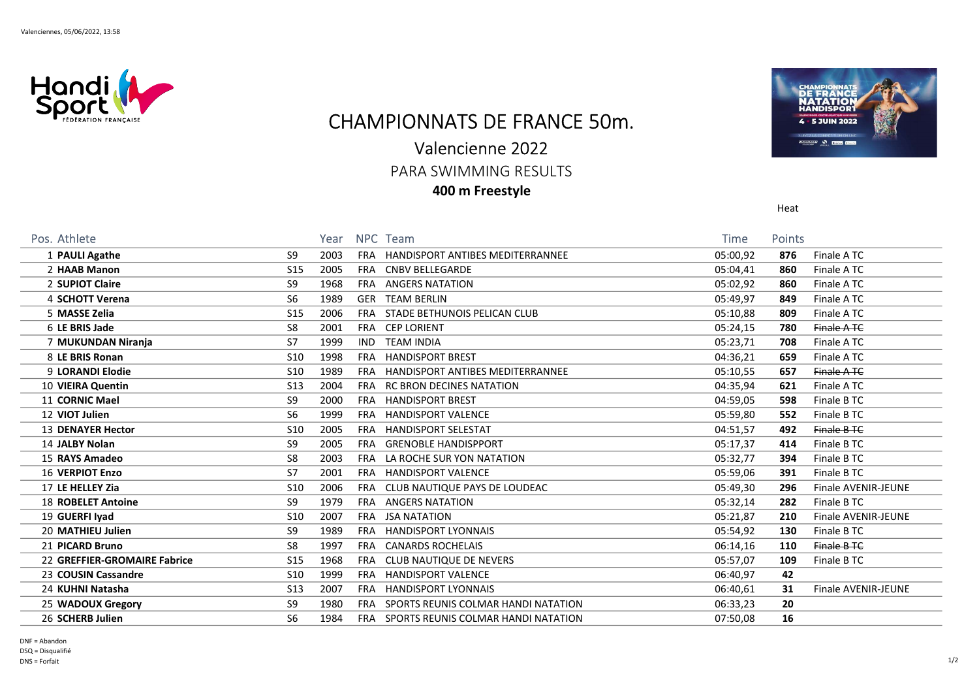

## CHAMPIONNATS DE FRANCE 50m.

## Valencienne 2022

PARA SWIMMING RESULTS

400 m Freestyle



| Pos. Athlete                 |                 | Year |            | NPC Team                                | <b>Time</b> | <b>Points</b> |                            |
|------------------------------|-----------------|------|------------|-----------------------------------------|-------------|---------------|----------------------------|
| 1 PAULI Agathe               | S9              | 2003 | <b>FRA</b> | <b>HANDISPORT ANTIBES MEDITERRANNEE</b> | 05:00,92    | 876           | Finale ATC                 |
| 2 HAAB Manon                 | S <sub>15</sub> | 2005 | FRA        | <b>CNBV BELLEGARDE</b>                  | 05:04,41    | 860           | Finale ATC                 |
| 2 SUPIOT Claire              | S <sub>9</sub>  | 1968 | <b>FRA</b> | <b>ANGERS NATATION</b>                  | 05:02,92    | 860           | Finale ATC                 |
| 4 SCHOTT Verena              | S <sub>6</sub>  | 1989 | GER        | <b>TEAM BERLIN</b>                      | 05:49,97    | 849           | Finale ATC                 |
| 5 MASSE Zelia                | S <sub>15</sub> | 2006 | FRA        | STADE BETHUNOIS PELICAN CLUB            | 05:10,88    | 809           | Finale ATC                 |
| 6 LE BRIS Jade               | S8              | 2001 | FRA        | <b>CEP LORIENT</b>                      | 05:24,15    | 780           | Finale A TC                |
| 7 MUKUNDAN Niranja           | S7              | 1999 | IND.       | <b>TEAM INDIA</b>                       | 05:23,71    | 708           | Finale ATC                 |
| 8 LE BRIS Ronan              | S <sub>10</sub> | 1998 | <b>FRA</b> | <b>HANDISPORT BREST</b>                 | 04:36,21    | 659           | Finale ATC                 |
| 9 LORANDI Elodie             | <b>S10</b>      | 1989 | FRA        | <b>HANDISPORT ANTIBES MEDITERRANNEE</b> | 05:10,55    | 657           | Finale ATC                 |
| 10 VIEIRA Quentin            | S <sub>13</sub> | 2004 | FRA        | RC BRON DECINES NATATION                | 04:35,94    | 621           | Finale ATC                 |
| 11 CORNIC Mael               | S9              | 2000 | FRA        | <b>HANDISPORT BREST</b>                 | 04:59,05    | 598           | Finale B TC                |
| 12 VIOT Julien               | S <sub>6</sub>  | 1999 | FRA        | <b>HANDISPORT VALENCE</b>               | 05:59,80    | 552           | Finale B TC                |
| <b>13 DENAYER Hector</b>     | S <sub>10</sub> | 2005 | <b>FRA</b> | <b>HANDISPORT SELESTAT</b>              | 04:51,57    | 492           | Finale B TC                |
| 14 JALBY Nolan               | S <sub>9</sub>  | 2005 | <b>FRA</b> | <b>GRENOBLE HANDISPPORT</b>             | 05:17,37    | 414           | Finale B TC                |
| 15 RAYS Amadeo               | S8              | 2003 | FRA        | LA ROCHE SUR YON NATATION               | 05:32,77    | 394           | Finale B TC                |
| <b>16 VERPIOT Enzo</b>       | S7              | 2001 | FRA        | <b>HANDISPORT VALENCE</b>               | 05:59,06    | 391           | Finale B TC                |
| 17 LE HELLEY Zia             | S <sub>10</sub> | 2006 | FRA        | CLUB NAUTIQUE PAYS DE LOUDEAC           | 05:49,30    | 296           | <b>Finale AVENIR-JEUNE</b> |
| <b>18 ROBELET Antoine</b>    | S <sub>9</sub>  | 1979 | <b>FRA</b> | <b>ANGERS NATATION</b>                  | 05:32,14    | 282           | Finale B TC                |
| 19 GUERFI Iyad               | S <sub>10</sub> | 2007 | FRA        | JSA NATATION                            | 05:21,87    | 210           | <b>Finale AVENIR-JEUNE</b> |
| 20 MATHIEU Julien            | S <sub>9</sub>  | 1989 | FRA        | <b>HANDISPORT LYONNAIS</b>              | 05:54,92    | 130           | Finale B TC                |
| 21 PICARD Bruno              | S <sub>8</sub>  | 1997 | <b>FRA</b> | <b>CANARDS ROCHELAIS</b>                | 06:14,16    | 110           | Finale B TC                |
| 22 GREFFIER-GROMAIRE Fabrice | <b>S15</b>      | 1968 | <b>FRA</b> | <b>CLUB NAUTIQUE DE NEVERS</b>          | 05:57,07    | 109           | Finale B TC                |
| 23 COUSIN Cassandre          | <b>S10</b>      | 1999 | <b>FRA</b> | <b>HANDISPORT VALENCE</b>               | 06:40,97    | 42            |                            |
| 24 KUHNI Natasha             | S <sub>13</sub> | 2007 | <b>FRA</b> | <b>HANDISPORT LYONNAIS</b>              | 06:40,61    | 31            | <b>Finale AVENIR-JEUNE</b> |
| 25 WADOUX Gregory            | S9              | 1980 | FRA        | SPORTS REUNIS COLMAR HANDI NATATION     | 06:33,23    | 20            |                            |
| 26 SCHERB Julien             | S <sub>6</sub>  | 1984 | FRA        | SPORTS REUNIS COLMAR HANDI NATATION     | 07:50,08    | 16            |                            |

Heat